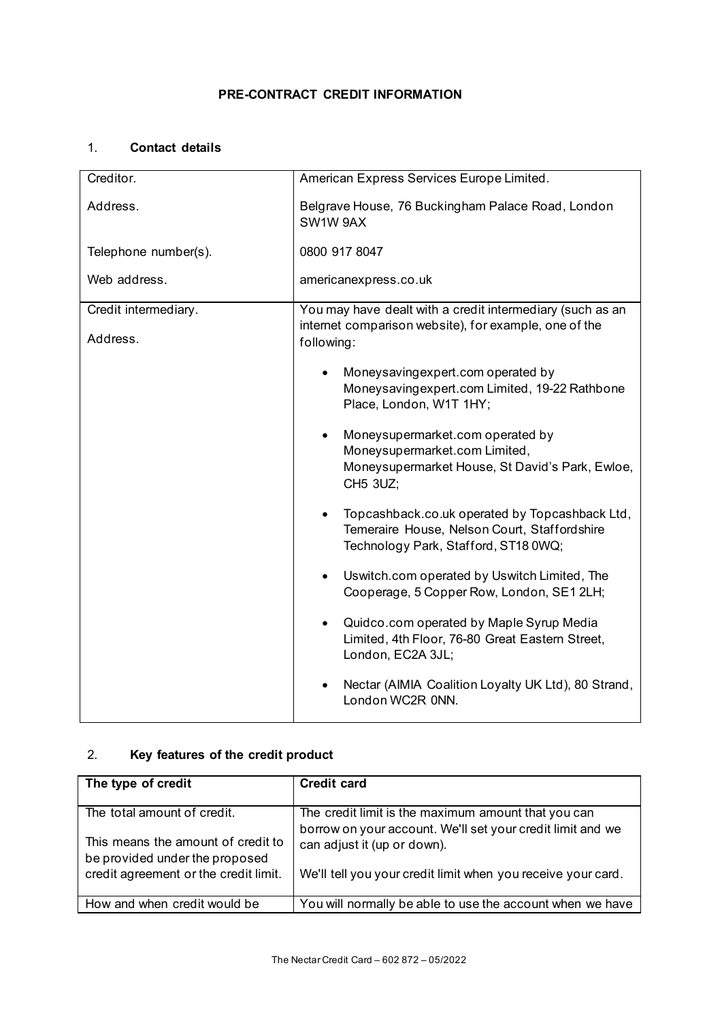# 1. **Contact details**

| Creditor.                        | American Express Services Europe Limited.                                                                                                                                                                                                                                                                                                                                                                                                                                                                                                                                                                                                                                               |  |
|----------------------------------|-----------------------------------------------------------------------------------------------------------------------------------------------------------------------------------------------------------------------------------------------------------------------------------------------------------------------------------------------------------------------------------------------------------------------------------------------------------------------------------------------------------------------------------------------------------------------------------------------------------------------------------------------------------------------------------------|--|
| Address.                         | Belgrave House, 76 Buckingham Palace Road, London<br>SW1W 9AX                                                                                                                                                                                                                                                                                                                                                                                                                                                                                                                                                                                                                           |  |
| Telephone number(s).             | 0800 917 8047                                                                                                                                                                                                                                                                                                                                                                                                                                                                                                                                                                                                                                                                           |  |
| Web address.                     | americanexpress.co.uk                                                                                                                                                                                                                                                                                                                                                                                                                                                                                                                                                                                                                                                                   |  |
| Credit intermediary.<br>Address. | You may have dealt with a credit intermediary (such as an<br>internet comparison website), for example, one of the<br>following:                                                                                                                                                                                                                                                                                                                                                                                                                                                                                                                                                        |  |
|                                  | Moneysavingexpert.com operated by<br>Moneysavingexpert.com Limited, 19-22 Rathbone<br>Place, London, W1T 1HY;<br>Moneysupermarket.com operated by<br>Moneysupermarket.com Limited,<br>Moneysupermarket House, St David's Park, Ewloe,<br>CH5 3UZ;<br>Topcashback.co.uk operated by Topcashback Ltd,<br>Temeraire House, Nelson Court, Staffordshire<br>Technology Park, Stafford, ST18 0WQ;<br>Uswitch.com operated by Uswitch Limited, The<br>Cooperage, 5 Copper Row, London, SE1 2LH;<br>Quidco.com operated by Maple Syrup Media<br>Limited, 4th Floor, 76-80 Great Eastern Street,<br>London, EC2A 3JL;<br>Nectar (AIMIA Coalition Loyalty UK Ltd), 80 Strand,<br>London WC2R 0NN. |  |

# 2. **Key features of the credit product**

| The type of credit                                                   | <b>Credit card</b>                                                                                                |
|----------------------------------------------------------------------|-------------------------------------------------------------------------------------------------------------------|
| The total amount of credit.                                          | The credit limit is the maximum amount that you can<br>borrow on your account. We'll set your credit limit and we |
| This means the amount of credit to<br>be provided under the proposed | can adjust it (up or down).                                                                                       |
| credit agreement or the credit limit.                                | We'll tell you your credit limit when you receive your card.                                                      |
| How and when credit would be                                         | You will normally be able to use the account when we have                                                         |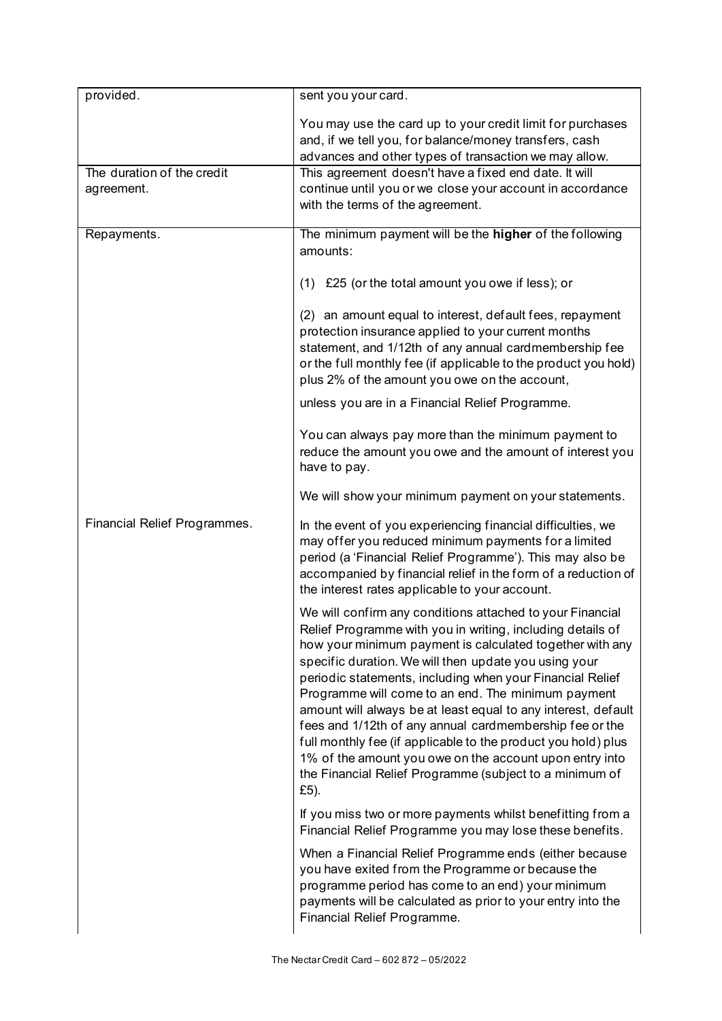| provided.                                | sent you your card.                                                                                                                                                                                                                                                                                                                                                                                                                                                                                                                                                                                                                                                                        |
|------------------------------------------|--------------------------------------------------------------------------------------------------------------------------------------------------------------------------------------------------------------------------------------------------------------------------------------------------------------------------------------------------------------------------------------------------------------------------------------------------------------------------------------------------------------------------------------------------------------------------------------------------------------------------------------------------------------------------------------------|
|                                          | You may use the card up to your credit limit for purchases<br>and, if we tell you, for balance/money transfers, cash<br>advances and other types of transaction we may allow.                                                                                                                                                                                                                                                                                                                                                                                                                                                                                                              |
| The duration of the credit<br>agreement. | This agreement doesn't have a fixed end date. It will<br>continue until you or we close your account in accordance<br>with the terms of the agreement.                                                                                                                                                                                                                                                                                                                                                                                                                                                                                                                                     |
| Repayments.                              | The minimum payment will be the higher of the following<br>amounts:                                                                                                                                                                                                                                                                                                                                                                                                                                                                                                                                                                                                                        |
|                                          | (1) £25 (or the total amount you owe if less); or                                                                                                                                                                                                                                                                                                                                                                                                                                                                                                                                                                                                                                          |
|                                          | (2) an amount equal to interest, default fees, repayment<br>protection insurance applied to your current months<br>statement, and 1/12th of any annual cardmembership fee<br>or the full monthly fee (if applicable to the product you hold)<br>plus 2% of the amount you owe on the account,                                                                                                                                                                                                                                                                                                                                                                                              |
|                                          | unless you are in a Financial Relief Programme.                                                                                                                                                                                                                                                                                                                                                                                                                                                                                                                                                                                                                                            |
|                                          | You can always pay more than the minimum payment to<br>reduce the amount you owe and the amount of interest you<br>have to pay.                                                                                                                                                                                                                                                                                                                                                                                                                                                                                                                                                            |
|                                          | We will show your minimum payment on your statements.                                                                                                                                                                                                                                                                                                                                                                                                                                                                                                                                                                                                                                      |
| Financial Relief Programmes.             | In the event of you experiencing financial difficulties, we<br>may offer you reduced minimum payments for a limited<br>period (a 'Financial Relief Programme'). This may also be<br>accompanied by financial relief in the form of a reduction of<br>the interest rates applicable to your account.                                                                                                                                                                                                                                                                                                                                                                                        |
|                                          | We will confirm any conditions attached to your Financial<br>Relief Programme with you in writing, including details of<br>how your minimum payment is calculated together with any<br>specific duration. We will then update you using your<br>periodic statements, including when your Financial Relief<br>Programme will come to an end. The minimum payment<br>amount will always be at least equal to any interest, default<br>fees and 1/12th of any annual cardmembership fee or the<br>full monthly fee (if applicable to the product you hold) plus<br>1% of the amount you owe on the account upon entry into<br>the Financial Relief Programme (subject to a minimum of<br>£5). |
|                                          | If you miss two or more payments whilst benefitting from a<br>Financial Relief Programme you may lose these benefits.                                                                                                                                                                                                                                                                                                                                                                                                                                                                                                                                                                      |
|                                          | When a Financial Relief Programme ends (either because<br>you have exited from the Programme or because the<br>programme period has come to an end) your minimum<br>payments will be calculated as prior to your entry into the<br>Financial Relief Programme.                                                                                                                                                                                                                                                                                                                                                                                                                             |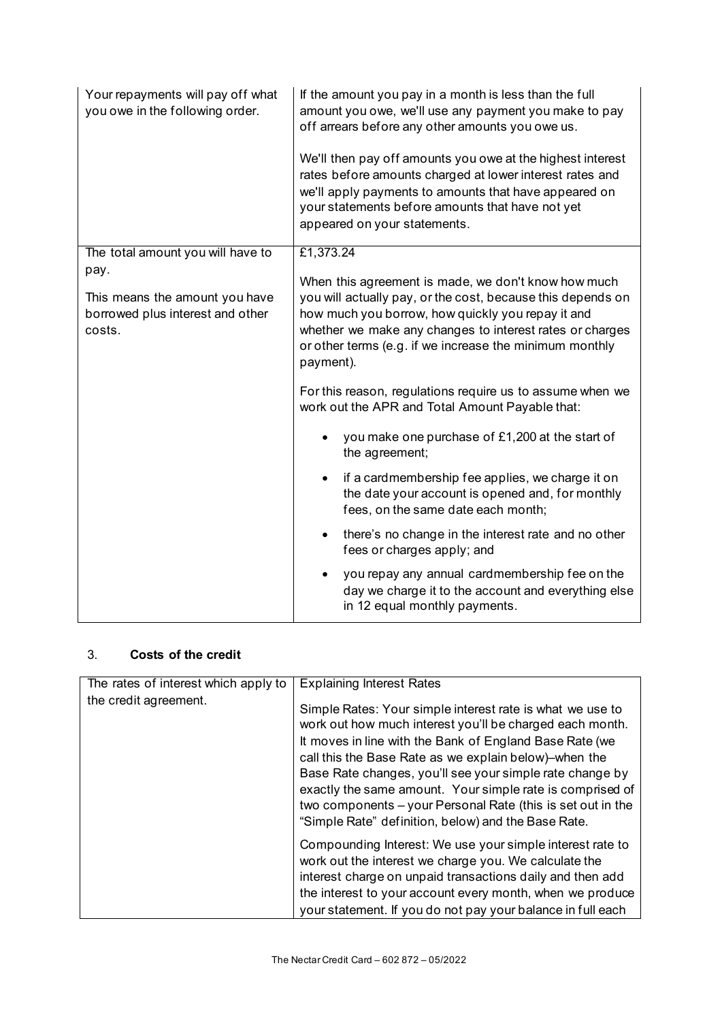| Your repayments will pay off what<br>you owe in the following order.                 | If the amount you pay in a month is less than the full<br>amount you owe, we'll use any payment you make to pay<br>off arrears before any other amounts you owe us.<br>We'll then pay off amounts you owe at the highest interest<br>rates before amounts charged at lower interest rates and<br>we'll apply payments to amounts that have appeared on<br>your statements before amounts that have not yet<br>appeared on your statements. |
|--------------------------------------------------------------------------------------|--------------------------------------------------------------------------------------------------------------------------------------------------------------------------------------------------------------------------------------------------------------------------------------------------------------------------------------------------------------------------------------------------------------------------------------------|
| The total amount you will have to                                                    | £1,373.24                                                                                                                                                                                                                                                                                                                                                                                                                                  |
| pay.<br>This means the amount you have<br>borrowed plus interest and other<br>costs. | When this agreement is made, we don't know how much<br>you will actually pay, or the cost, because this depends on<br>how much you borrow, how quickly you repay it and<br>whether we make any changes to interest rates or charges<br>or other terms (e.g. if we increase the minimum monthly<br>payment).                                                                                                                                |
|                                                                                      | For this reason, regulations require us to assume when we<br>work out the APR and Total Amount Payable that:                                                                                                                                                                                                                                                                                                                               |
|                                                                                      | you make one purchase of £1,200 at the start of<br>the agreement;                                                                                                                                                                                                                                                                                                                                                                          |
|                                                                                      | if a cardmembership fee applies, we charge it on<br>the date your account is opened and, for monthly<br>fees, on the same date each month;                                                                                                                                                                                                                                                                                                 |
|                                                                                      | there's no change in the interest rate and no other<br>$\bullet$<br>fees or charges apply; and                                                                                                                                                                                                                                                                                                                                             |
|                                                                                      | you repay any annual cardmembership fee on the<br>day we charge it to the account and everything else<br>in 12 equal monthly payments.                                                                                                                                                                                                                                                                                                     |

# 3. **Costs of the credit**

| The rates of interest which apply to | <b>Explaining Interest Rates</b>                                                                                                                                                                                                                                                                                                                                                                                                                                                         |
|--------------------------------------|------------------------------------------------------------------------------------------------------------------------------------------------------------------------------------------------------------------------------------------------------------------------------------------------------------------------------------------------------------------------------------------------------------------------------------------------------------------------------------------|
| the credit agreement.                | Simple Rates: Your simple interest rate is what we use to<br>work out how much interest you'll be charged each month.<br>It moves in line with the Bank of England Base Rate (we<br>call this the Base Rate as we explain below)-when the<br>Base Rate changes, you'll see your simple rate change by<br>exactly the same amount. Your simple rate is comprised of<br>two components – your Personal Rate (this is set out in the<br>"Simple Rate" definition, below) and the Base Rate. |
|                                      | Compounding Interest: We use your simple interest rate to<br>work out the interest we charge you. We calculate the<br>interest charge on unpaid transactions daily and then add<br>the interest to your account every month, when we produce<br>your statement. If you do not pay your balance in full each                                                                                                                                                                              |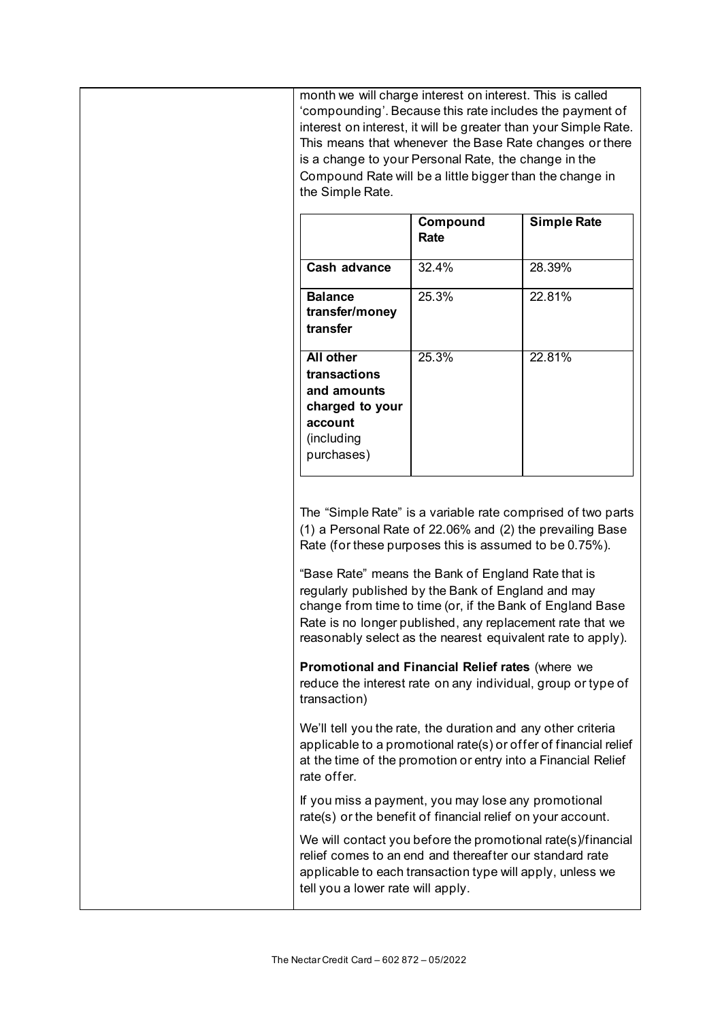| month we will charge interest on interest. This is called<br>'compounding'. Because this rate includes the payment of<br>interest on interest, it will be greater than your Simple Rate.<br>This means that whenever the Base Rate changes or there<br>is a change to your Personal Rate, the change in the<br>Compound Rate will be a little bigger than the change in<br>the Simple Rate.                              |                  |                                                                  |
|--------------------------------------------------------------------------------------------------------------------------------------------------------------------------------------------------------------------------------------------------------------------------------------------------------------------------------------------------------------------------------------------------------------------------|------------------|------------------------------------------------------------------|
|                                                                                                                                                                                                                                                                                                                                                                                                                          | Compound<br>Rate | <b>Simple Rate</b>                                               |
| Cash advance                                                                                                                                                                                                                                                                                                                                                                                                             | 32.4%            | 28.39%                                                           |
| <b>Balance</b><br>transfer/money<br>transfer                                                                                                                                                                                                                                                                                                                                                                             | 25.3%            | 22.81%                                                           |
| <b>All other</b><br>transactions<br>and amounts<br>charged to your<br>account<br>(including<br>purchases)                                                                                                                                                                                                                                                                                                                | 25.3%            | 22.81%                                                           |
| (1) a Personal Rate of 22.06% and (2) the prevailing Base<br>Rate (for these purposes this is assumed to be 0.75%).<br>"Base Rate" means the Bank of England Rate that is<br>regularly published by the Bank of England and may<br>change from time to time (or, if the Bank of England Base<br>Rate is no longer published, any replacement rate that we<br>reasonably select as the nearest equivalent rate to apply). |                  | The "Simple Rate" is a variable rate comprised of two parts      |
| Promotional and Financial Relief rates (where we<br>reduce the interest rate on any individual, group or type of<br>transaction)                                                                                                                                                                                                                                                                                         |                  |                                                                  |
| We'll tell you the rate, the duration and any other criteria<br>at the time of the promotion or entry into a Financial Relief<br>rate offer.                                                                                                                                                                                                                                                                             |                  | applicable to a promotional rate(s) or offer of financial relief |
| If you miss a payment, you may lose any promotional<br>rate(s) or the benefit of financial relief on your account.                                                                                                                                                                                                                                                                                                       |                  |                                                                  |
| relief comes to an end and thereafter our standard rate<br>applicable to each transaction type will apply, unless we<br>tell you a lower rate will apply.                                                                                                                                                                                                                                                                |                  | We will contact you before the promotional rate(s)/financial     |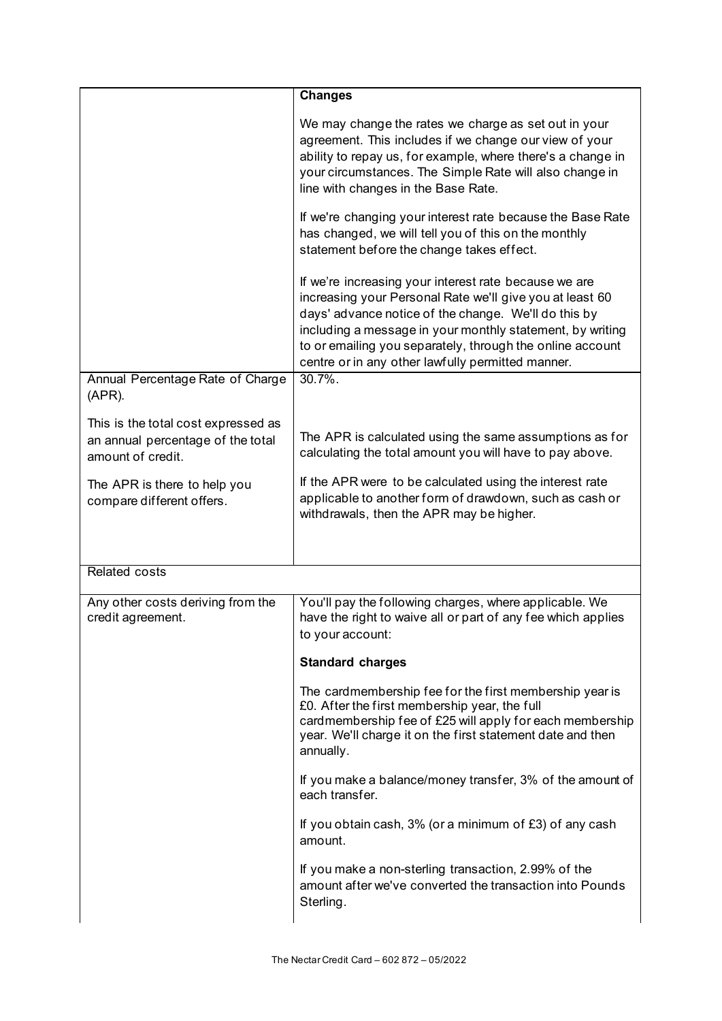|                                                                                               | <b>Changes</b>                                                                                                                                                                                                                                                                                                                                           |
|-----------------------------------------------------------------------------------------------|----------------------------------------------------------------------------------------------------------------------------------------------------------------------------------------------------------------------------------------------------------------------------------------------------------------------------------------------------------|
|                                                                                               | We may change the rates we charge as set out in your<br>agreement. This includes if we change our view of your<br>ability to repay us, for example, where there's a change in<br>your circumstances. The Simple Rate will also change in<br>line with changes in the Base Rate.                                                                          |
|                                                                                               | If we're changing your interest rate because the Base Rate<br>has changed, we will tell you of this on the monthly<br>statement before the change takes effect.                                                                                                                                                                                          |
|                                                                                               | If we're increasing your interest rate because we are<br>increasing your Personal Rate we'll give you at least 60<br>days' advance notice of the change. We'll do this by<br>including a message in your monthly statement, by writing<br>to or emailing you separately, through the online account<br>centre or in any other lawfully permitted manner. |
| Annual Percentage Rate of Charge<br>$(APR)$ .                                                 | $30.7\%$ .                                                                                                                                                                                                                                                                                                                                               |
| This is the total cost expressed as<br>an annual percentage of the total<br>amount of credit. | The APR is calculated using the same assumptions as for<br>calculating the total amount you will have to pay above.                                                                                                                                                                                                                                      |
| The APR is there to help you<br>compare different offers.                                     | If the APR were to be calculated using the interest rate<br>applicable to another form of drawdown, such as cash or<br>withdrawals, then the APR may be higher.                                                                                                                                                                                          |
| <b>Related costs</b>                                                                          |                                                                                                                                                                                                                                                                                                                                                          |
| Any other costs deriving from the<br>credit agreement.                                        | You'll pay the following charges, where applicable. We<br>have the right to waive all or part of any fee which applies<br>to your account:                                                                                                                                                                                                               |
|                                                                                               | <b>Standard charges</b>                                                                                                                                                                                                                                                                                                                                  |
|                                                                                               | The cardmembership fee for the first membership year is<br>£0. After the first membership year, the full<br>cardmembership fee of £25 will apply for each membership<br>year. We'll charge it on the first statement date and then<br>annually.                                                                                                          |
|                                                                                               | If you make a balance/money transfer, 3% of the amount of<br>each transfer.                                                                                                                                                                                                                                                                              |
|                                                                                               | If you obtain cash, 3% (or a minimum of £3) of any cash<br>amount.                                                                                                                                                                                                                                                                                       |
|                                                                                               | If you make a non-sterling transaction, 2.99% of the<br>amount after we've converted the transaction into Pounds<br>Sterling.                                                                                                                                                                                                                            |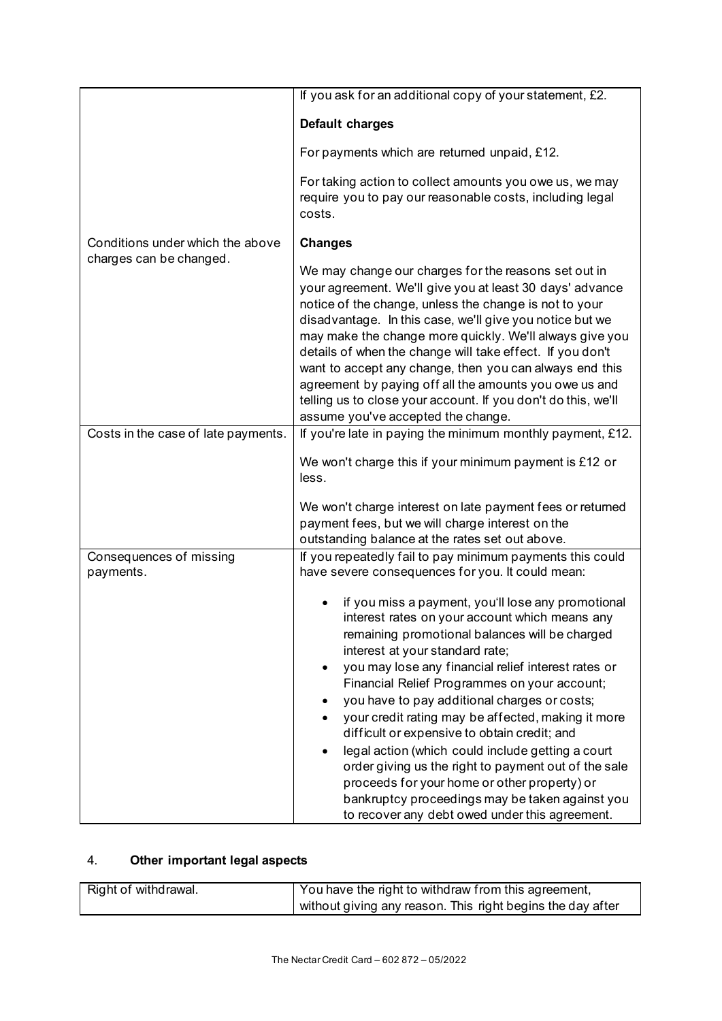|                                      | If you ask for an additional copy of your statement, £2.                                                                                                                                                                                                                                                                                                                                                                                                                                                                                                                                                                                                                                                                                           |
|--------------------------------------|----------------------------------------------------------------------------------------------------------------------------------------------------------------------------------------------------------------------------------------------------------------------------------------------------------------------------------------------------------------------------------------------------------------------------------------------------------------------------------------------------------------------------------------------------------------------------------------------------------------------------------------------------------------------------------------------------------------------------------------------------|
|                                      | Default charges                                                                                                                                                                                                                                                                                                                                                                                                                                                                                                                                                                                                                                                                                                                                    |
|                                      | For payments which are returned unpaid, £12.                                                                                                                                                                                                                                                                                                                                                                                                                                                                                                                                                                                                                                                                                                       |
|                                      | For taking action to collect amounts you owe us, we may<br>require you to pay our reasonable costs, including legal<br>costs.                                                                                                                                                                                                                                                                                                                                                                                                                                                                                                                                                                                                                      |
| Conditions under which the above     | <b>Changes</b>                                                                                                                                                                                                                                                                                                                                                                                                                                                                                                                                                                                                                                                                                                                                     |
| charges can be changed.              | We may change our charges for the reasons set out in<br>your agreement. We'll give you at least 30 days' advance<br>notice of the change, unless the change is not to your<br>disadvantage. In this case, we'll give you notice but we<br>may make the change more quickly. We'll always give you<br>details of when the change will take effect. If you don't<br>want to accept any change, then you can always end this<br>agreement by paying off all the amounts you owe us and<br>telling us to close your account. If you don't do this, we'll<br>assume you've accepted the change.                                                                                                                                                         |
| Costs in the case of late payments.  | If you're late in paying the minimum monthly payment, £12.                                                                                                                                                                                                                                                                                                                                                                                                                                                                                                                                                                                                                                                                                         |
|                                      | We won't charge this if your minimum payment is £12 or<br>less.                                                                                                                                                                                                                                                                                                                                                                                                                                                                                                                                                                                                                                                                                    |
|                                      | We won't charge interest on late payment fees or returned<br>payment fees, but we will charge interest on the<br>outstanding balance at the rates set out above.                                                                                                                                                                                                                                                                                                                                                                                                                                                                                                                                                                                   |
| Consequences of missing<br>payments. | If you repeatedly fail to pay minimum payments this could<br>have severe consequences for you. It could mean:                                                                                                                                                                                                                                                                                                                                                                                                                                                                                                                                                                                                                                      |
|                                      | if you miss a payment, you'll lose any promotional<br>interest rates on your account which means any<br>remaining promotional balances will be charged<br>interest at your standard rate;<br>you may lose any financial relief interest rates or<br>$\bullet$<br>Financial Relief Programmes on your account;<br>you have to pay additional charges or costs;<br>your credit rating may be affected, making it more<br>difficult or expensive to obtain credit; and<br>legal action (which could include getting a court<br>$\bullet$<br>order giving us the right to payment out of the sale<br>proceeds for your home or other property) or<br>bankruptcy proceedings may be taken against you<br>to recover any debt owed under this agreement. |

# 4. **Other important legal aspects**

| Right of withdrawal. | You have the right to withdraw from this agreement,        |
|----------------------|------------------------------------------------------------|
|                      | without giving any reason. This right begins the day after |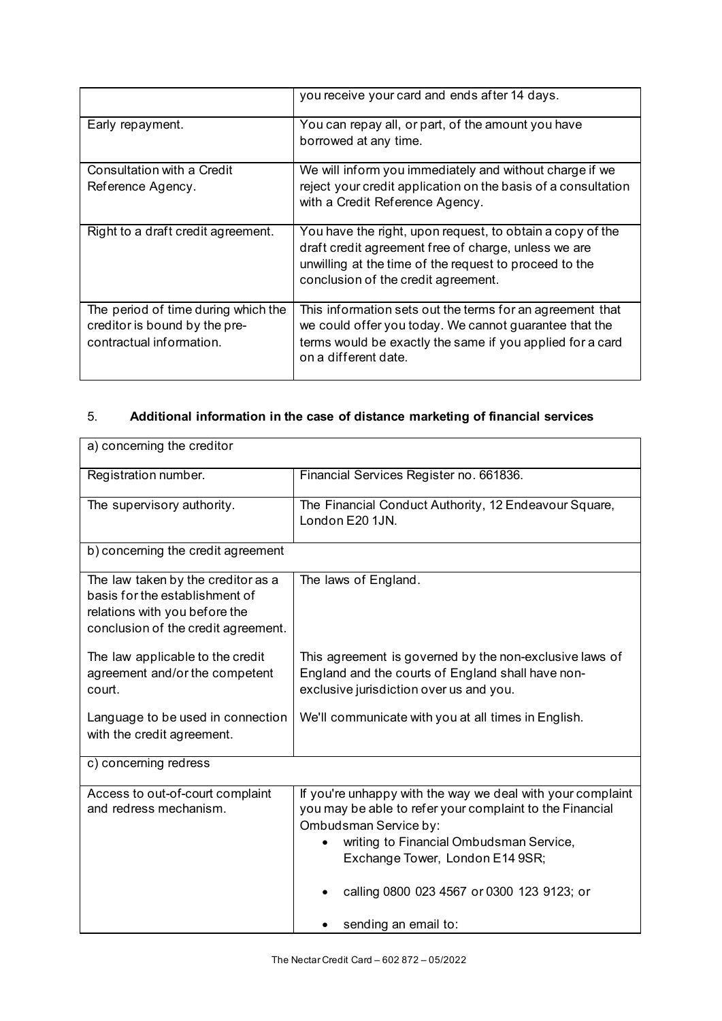|                                                                                                  | you receive your card and ends after 14 days.                                                                                                                                                            |
|--------------------------------------------------------------------------------------------------|----------------------------------------------------------------------------------------------------------------------------------------------------------------------------------------------------------|
| Early repayment.                                                                                 | You can repay all, or part, of the amount you have<br>borrowed at any time.                                                                                                                              |
| Consultation with a Credit                                                                       | We will inform you immediately and without charge if we                                                                                                                                                  |
| Reference Agency.                                                                                | reject your credit application on the basis of a consultation<br>with a Credit Reference Agency.                                                                                                         |
| Right to a draft credit agreement.                                                               | You have the right, upon request, to obtain a copy of the<br>draft credit agreement free of charge, unless we are                                                                                        |
|                                                                                                  | unwilling at the time of the request to proceed to the<br>conclusion of the credit agreement.                                                                                                            |
| The period of time during which the<br>creditor is bound by the pre-<br>contractual information. | This information sets out the terms for an agreement that<br>we could offer you today. We cannot guarantee that the<br>terms would be exactly the same if you applied for a card<br>on a different date. |

# 5. **Additional information in the case of distance marketing of financial services**

| a) concerning the creditor                                                                                                                   |                                                                                                                                                                                                                                                                                                     |
|----------------------------------------------------------------------------------------------------------------------------------------------|-----------------------------------------------------------------------------------------------------------------------------------------------------------------------------------------------------------------------------------------------------------------------------------------------------|
| Registration number.                                                                                                                         | Financial Services Register no. 661836.                                                                                                                                                                                                                                                             |
| The supervisory authority.                                                                                                                   | The Financial Conduct Authority, 12 Endeavour Square,<br>London E20 1JN.                                                                                                                                                                                                                            |
| b) concerning the credit agreement                                                                                                           |                                                                                                                                                                                                                                                                                                     |
| The law taken by the creditor as a<br>basis for the establishment of<br>relations with you before the<br>conclusion of the credit agreement. | The laws of England.                                                                                                                                                                                                                                                                                |
| The law applicable to the credit<br>agreement and/or the competent<br>court.                                                                 | This agreement is governed by the non-exclusive laws of<br>England and the courts of England shall have non-<br>exclusive jurisdiction over us and you.                                                                                                                                             |
| Language to be used in connection<br>with the credit agreement.                                                                              | We'll communicate with you at all times in English.                                                                                                                                                                                                                                                 |
| c) concerning redress                                                                                                                        |                                                                                                                                                                                                                                                                                                     |
| Access to out-of-court complaint<br>and redress mechanism.                                                                                   | If you're unhappy with the way we deal with your complaint<br>you may be able to refer your complaint to the Financial<br>Ombudsman Service by:<br>writing to Financial Ombudsman Service,<br>Exchange Tower, London E14 9SR;<br>calling 0800 023 4567 or 0300 123 9123; or<br>sending an email to: |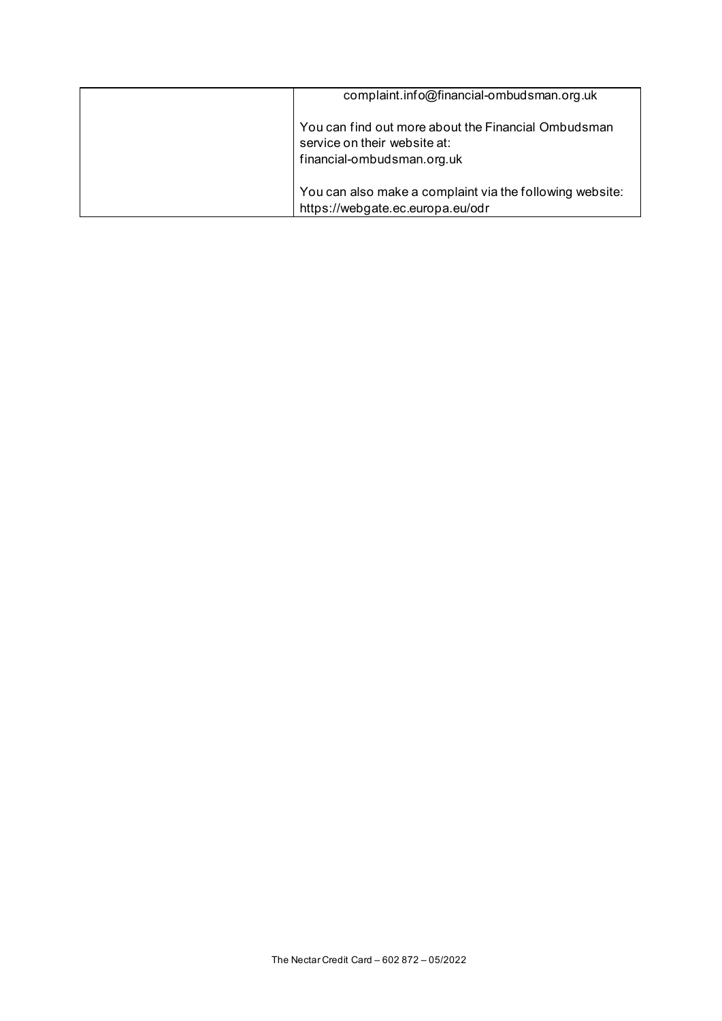| complaint.info@financial-ombudsman.org.uk                                                                         |
|-------------------------------------------------------------------------------------------------------------------|
| You can find out more about the Financial Ombudsman<br>service on their website at:<br>financial-ombudsman.org.uk |
| You can also make a complaint via the following website:<br>https://webgate.ec.europa.eu/odr                      |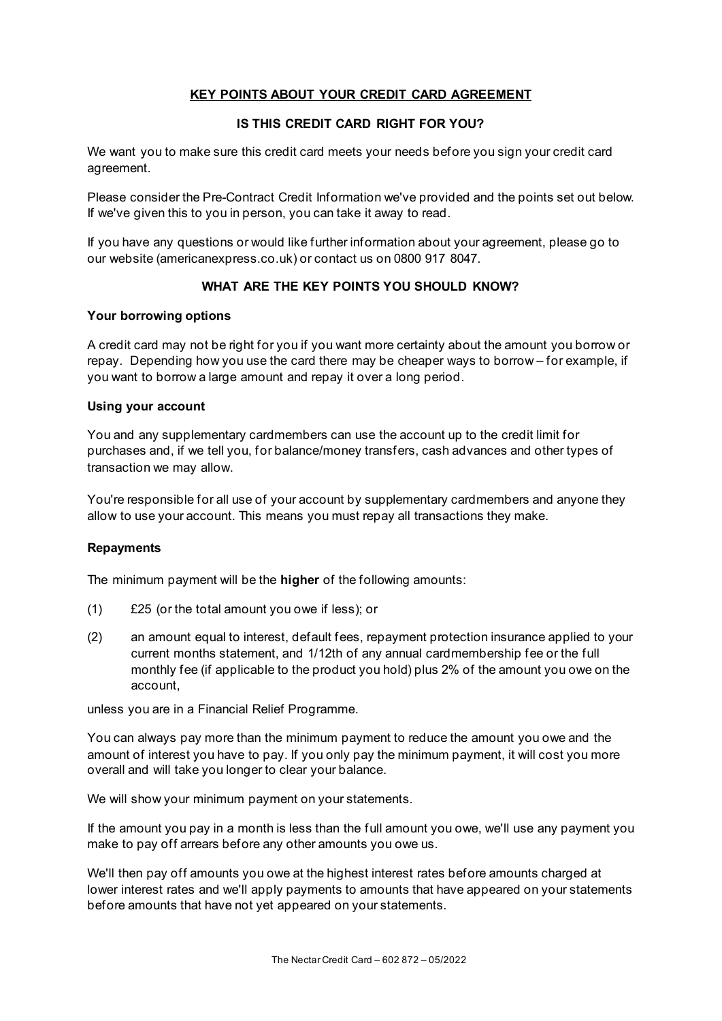## **KEY POINTS ABOUT YOUR CREDIT CARD AGREEMENT**

## **IS THIS CREDIT CARD RIGHT FOR YOU?**

We want you to make sure this credit card meets your needs before you sign your credit card agreement.

Please consider the Pre-Contract Credit Information we've provided and the points set out below. If we've given this to you in person, you can take it away to read.

If you have any questions or would like further information about your agreement, please go to our website (americanexpress.co.uk) or contact us on 0800 917 8047.

## **WHAT ARE THE KEY POINTS YOU SHOULD KNOW?**

#### **Your borrowing options**

A credit card may not be right for you if you want more certainty about the amount you borrow or repay. Depending how you use the card there may be cheaper ways to borrow – for example, if you want to borrow a large amount and repay it over a long period.

#### **Using your account**

You and any supplementary cardmembers can use the account up to the credit limit for purchases and, if we tell you, for balance/money transfers, cash advances and other types of transaction we may allow.

You're responsible for all use of your account by supplementary cardmembers and anyone they allow to use your account. This means you must repay all transactions they make.

### **Repayments**

The minimum payment will be the **higher** of the following amounts:

- (1) £25 (or the total amount you owe if less); or
- (2) an amount equal to interest, default fees, repayment protection insurance applied to your current months statement, and 1/12th of any annual cardmembership fee or the full monthly fee (if applicable to the product you hold) plus 2% of the amount you owe on the account,

unless you are in a Financial Relief Programme.

You can always pay more than the minimum payment to reduce the amount you owe and the amount of interest you have to pay. If you only pay the minimum payment, it will cost you more overall and will take you longer to clear your balance.

We will show your minimum payment on your statements.

If the amount you pay in a month is less than the full amount you owe, we'll use any payment you make to pay off arrears before any other amounts you owe us.

We'll then pay off amounts you owe at the highest interest rates before amounts charged at lower interest rates and we'll apply payments to amounts that have appeared on your statements before amounts that have not yet appeared on your statements.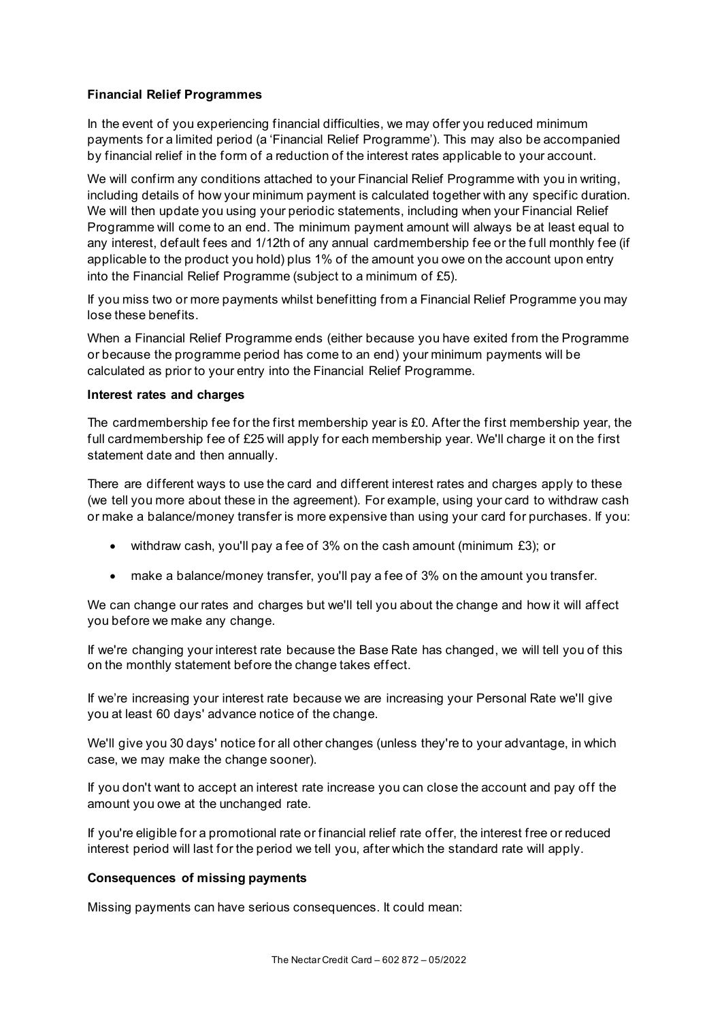## **Financial Relief Programmes**

In the event of you experiencing financial difficulties, we may offer you reduced minimum payments for a limited period (a 'Financial Relief Programme'). This may also be accompanied by financial relief in the form of a reduction of the interest rates applicable to your account.

We will confirm any conditions attached to your Financial Relief Programme with you in writing, including details of how your minimum payment is calculated together with any specific duration. We will then update you using your periodic statements, including when your Financial Relief Programme will come to an end. The minimum payment amount will always be at least equal to any interest, default fees and 1/12th of any annual cardmembership fee or the full monthly fee (if applicable to the product you hold) plus 1% of the amount you owe on the account upon entry into the Financial Relief Programme (subject to a minimum of £5).

If you miss two or more payments whilst benefitting from a Financial Relief Programme you may lose these benefits.

When a Financial Relief Programme ends (either because you have exited from the Programme or because the programme period has come to an end) your minimum payments will be calculated as prior to your entry into the Financial Relief Programme.

### **Interest rates and charges**

The cardmembership fee for the first membership year is £0. After the first membership year, the full cardmembership fee of £25 will apply for each membership year. We'll charge it on the first statement date and then annually.

There are different ways to use the card and different interest rates and charges apply to these (we tell you more about these in the agreement). For example, using your card to withdraw cash or make a balance/money transfer is more expensive than using your card for purchases. If you:

- withdraw cash, you'll pay a fee of 3% on the cash amount (minimum £3); or
- make a balance/money transfer, you'll pay a fee of 3% on the amount you transfer.

We can change our rates and charges but we'll tell you about the change and how it will affect you before we make any change.

If we're changing your interest rate because the Base Rate has changed, we will tell you of this on the monthly statement before the change takes effect.

If we're increasing your interest rate because we are increasing your Personal Rate we'll give you at least 60 days' advance notice of the change.

We'll give you 30 days' notice for all other changes (unless they're to your advantage, in which case, we may make the change sooner).

If you don't want to accept an interest rate increase you can close the account and pay off the amount you owe at the unchanged rate.

If you're eligible for a promotional rate or financial relief rate offer, the interest free or reduced interest period will last for the period we tell you, after which the standard rate will apply.

### **Consequences of missing payments**

Missing payments can have serious consequences. It could mean: